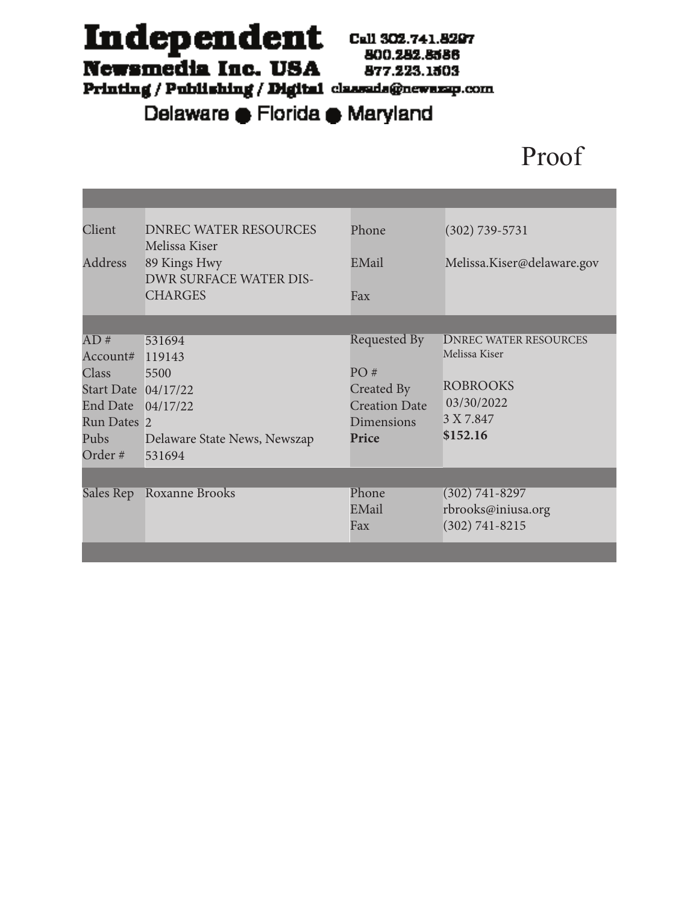Independent Call 302.741.8297

Newsmedia Inc. USA

800.282.8586 877.223.1503

Printing / Publishing / Digital classeds@newszep.com

Delaware e Florida e Maryland

## Proof

| Client              | <b>DNREC WATER RESOURCES</b><br>Melissa Kiser | Phone                | $(302) 739 - 5731$           |
|---------------------|-----------------------------------------------|----------------------|------------------------------|
| Address             | 89 Kings Hwy<br><b>DWR SURFACE WATER DIS-</b> | EMail                | Melissa.Kiser@delaware.gov   |
|                     | <b>CHARGES</b>                                | Fax                  |                              |
|                     |                                               |                      |                              |
| AD#                 | 531694                                        | Requested By         | <b>DNREC WATER RESOURCES</b> |
| Account# 119143     |                                               |                      | Melissa Kiser                |
| Class               | 5500                                          | PO#                  |                              |
| Start Date 04/17/22 |                                               | <b>Created By</b>    | <b>ROBROOKS</b>              |
| End Date 04/17/22   |                                               | <b>Creation Date</b> | 03/30/2022                   |
| Run Dates 2         |                                               | Dimensions           | 3 X 7.847                    |
| Pubs                | Delaware State News, Newszap                  | Price                | \$152.16                     |
| Order #             | 531694                                        |                      |                              |
|                     |                                               |                      |                              |
| Sales Rep           | Roxanne Brooks                                | Phone                | $(302) 741 - 8297$           |
|                     |                                               | EMail                | rbrooks@iniusa.org           |
|                     |                                               | Fax                  | $(302) 741 - 8215$           |
|                     |                                               |                      |                              |